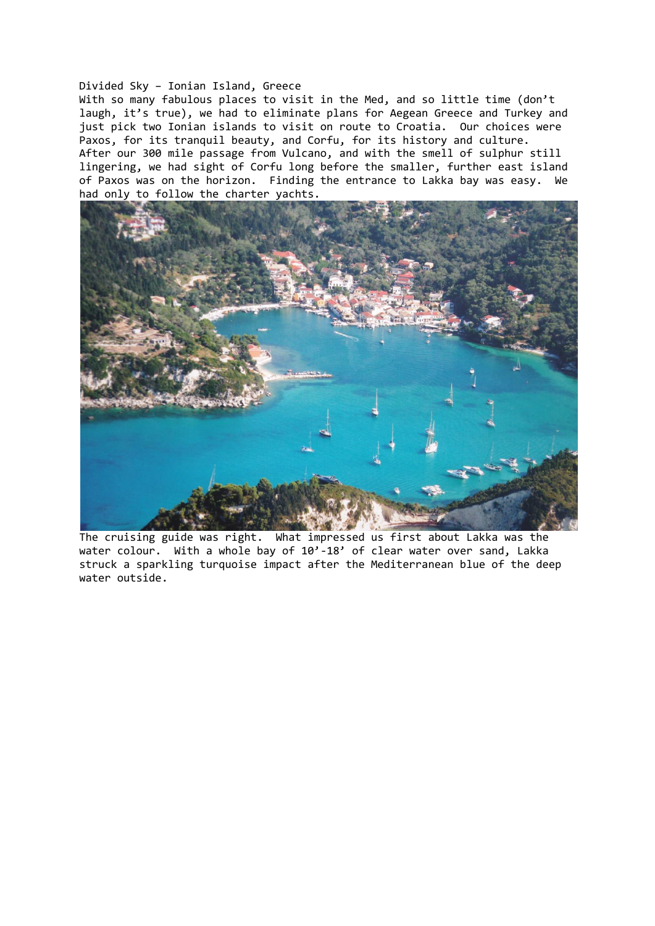## Divided Sky – Ionian Island, Greece

With so many fabulous places to visit in the Med, and so little time (don't laugh, it's true), we had to eliminate plans for Aegean Greece and Turkey and just pick two Ionian islands to visit on route to Croatia. Our choices were Paxos, for its tranquil beauty, and Corfu, for its history and culture. After our 300 mile passage from Vulcano, and with the smell of sulphur still lingering, we had sight of Corfu long before the smaller, further east island of Paxos was on the horizon. Finding the entrance to Lakka bay was easy. We had only to follow the charter yachts.



The cruising guide was right. What impressed us first about Lakka was the water colour. With a whole bay of 10'-18' of clear water over sand, Lakka struck a sparkling turquoise impact after the Mediterranean blue of the deep water outside.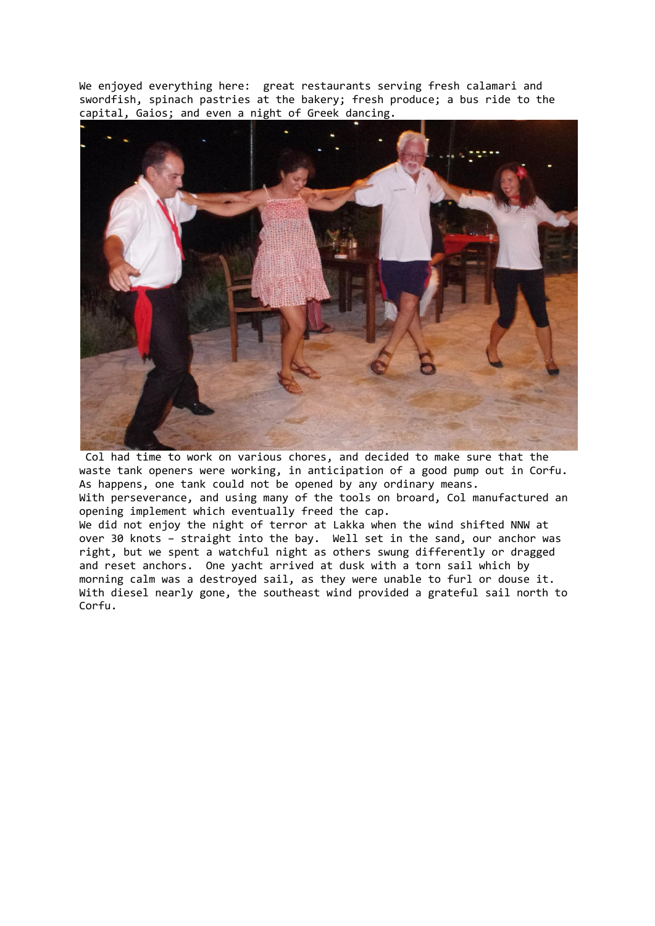We enjoyed everything here: great restaurants serving fresh calamari and swordfish, spinach pastries at the bakery; fresh produce; a bus ride to the capital, Gaios; and even a night of Greek dancing.



Col had time to work on various chores, and decided to make sure that the waste tank openers were working, in anticipation of a good pump out in Corfu. As happens, one tank could not be opened by any ordinary means. With perseverance, and using many of the tools on broard, Col manufactured an opening implement which eventually freed the cap.

We did not enjoy the night of terror at Lakka when the wind shifted NNW at over 30 knots – straight into the bay. Well set in the sand, our anchor was right, but we spent a watchful night as others swung differently or dragged and reset anchors. One yacht arrived at dusk with a torn sail which by morning calm was a destroyed sail, as they were unable to furl or douse it. With diesel nearly gone, the southeast wind provided a grateful sail north to Corfu.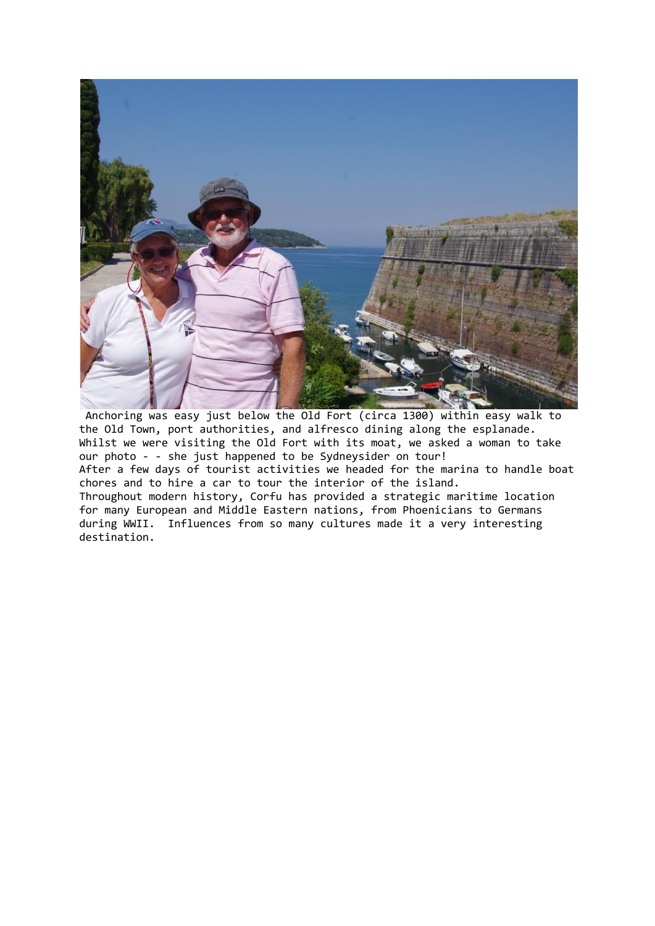

Anchoring was easy just below the Old Fort (circa 1300) within easy walk to the Old Town, port authorities, and alfresco dining along the esplanade. Whilst we were visiting the Old Fort with its moat, we asked a woman to take our photo - - she just happened to be Sydneysider on tour! After a few days of tourist activities we headed for the marina to handle boat chores and to hire a car to tour the interior of the island. Throughout modern history, Corfu has provided a strategic maritime location for many European and Middle Eastern nations, from Phoenicians to Germans during WWII. Influences from so many cultures made it a very interesting destination.